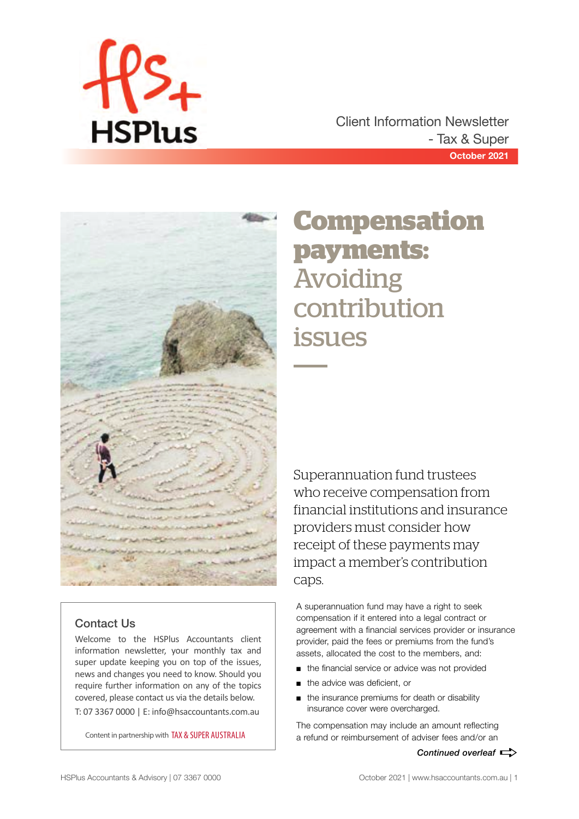

**October 2021** Client Information Newsletter - Tax & Super



## Contact Us

Welcome to the HSPlus Accountants client information newsletter, your monthly tax and super update keeping you on top of the issues, news and changes you need to know. Should you require further information on any of the topics covered, please contact us via the details below. T: 07 3367 0000 | E: info@hsaccountants.com.au

Content in partnership with TAX & SUPER AUSTRALIA

# **Compensation payments:**  Avoiding contribution issues

Superannuation fund trustees who receive compensation from financial institutions and insurance providers must consider how receipt of these payments may impact a member's contribution caps.

A superannuation fund may have a right to seek compensation if it entered into a legal contract or agreement with a financial services provider or insurance provider, paid the fees or premiums from the fund's assets, allocated the cost to the members, and:

- the financial service or advice was not provided
- the advice was deficient, or
- the insurance premiums for death or disability insurance cover were overcharged.

The compensation may include an amount reflecting a refund or reimbursement of adviser fees and/or an

Continued overleaf  $\Rightarrow$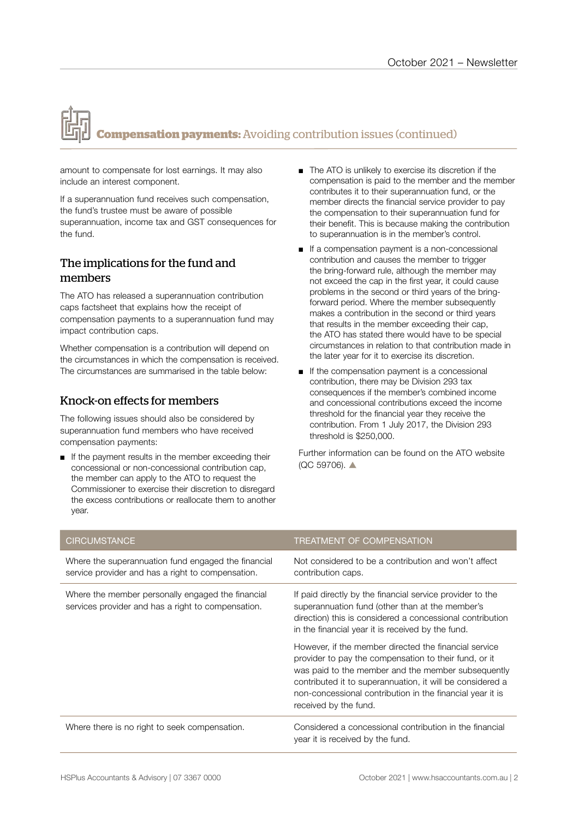# **Compensation payments:** Avoiding contribution issues (continued)

amount to compensate for lost earnings. It may also include an interest component.

If a superannuation fund receives such compensation, the fund's trustee must be aware of possible superannuation, income tax and GST consequences for the fund.

### The implications for the fund and members

The ATO has released a superannuation contribution caps factsheet that explains how the receipt of compensation payments to a superannuation fund may impact contribution caps.

Whether compensation is a contribution will depend on the circumstances in which the compensation is received. The circumstances are summarised in the table below:

### Knock-on effects for members

The following issues should also be considered by superannuation fund members who have received compensation payments:

■ If the payment results in the member exceeding their concessional or non-concessional contribution cap, the member can apply to the ATO to request the Commissioner to exercise their discretion to disregard the excess contributions or reallocate them to another year.

- The ATO is unlikely to exercise its discretion if the compensation is paid to the member and the member contributes it to their superannuation fund, or the member directs the financial service provider to pay the compensation to their superannuation fund for their benefit. This is because making the contribution to superannuation is in the member's control.
- If a compensation payment is a non-concessional contribution and causes the member to trigger the bring-forward rule, although the member may not exceed the cap in the first year, it could cause problems in the second or third years of the bringforward period. Where the member subsequently makes a contribution in the second or third years that results in the member exceeding their cap, the ATO has stated there would have to be special circumstances in relation to that contribution made in the later year for it to exercise its discretion.
- If the compensation payment is a concessional contribution, there may be Division 293 tax consequences if the member's combined income and concessional contributions exceed the income threshold for the financial year they receive the contribution. From 1 July 2017, the Division 293 threshold is \$250,000.

Further information can be found on the ATO website  $(OC 59706)$   $\triangle$ 

| <b>CIRCUMSTANCE</b>                                                                                      | <b>TREATMENT OF COMPENSATION</b>                                                                                                                                                                                                                                                                                        |
|----------------------------------------------------------------------------------------------------------|-------------------------------------------------------------------------------------------------------------------------------------------------------------------------------------------------------------------------------------------------------------------------------------------------------------------------|
| Where the superannuation fund engaged the financial<br>service provider and has a right to compensation. | Not considered to be a contribution and won't affect<br>contribution caps.                                                                                                                                                                                                                                              |
| Where the member personally engaged the financial<br>services provider and has a right to compensation.  | If paid directly by the financial service provider to the<br>superannuation fund (other than at the member's<br>direction) this is considered a concessional contribution<br>in the financial year it is received by the fund.                                                                                          |
|                                                                                                          | However, if the member directed the financial service<br>provider to pay the compensation to their fund, or it<br>was paid to the member and the member subsequently<br>contributed it to superannuation, it will be considered a<br>non-concessional contribution in the financial year it is<br>received by the fund. |
| Where there is no right to seek compensation.                                                            | Considered a concessional contribution in the financial<br>year it is received by the fund.                                                                                                                                                                                                                             |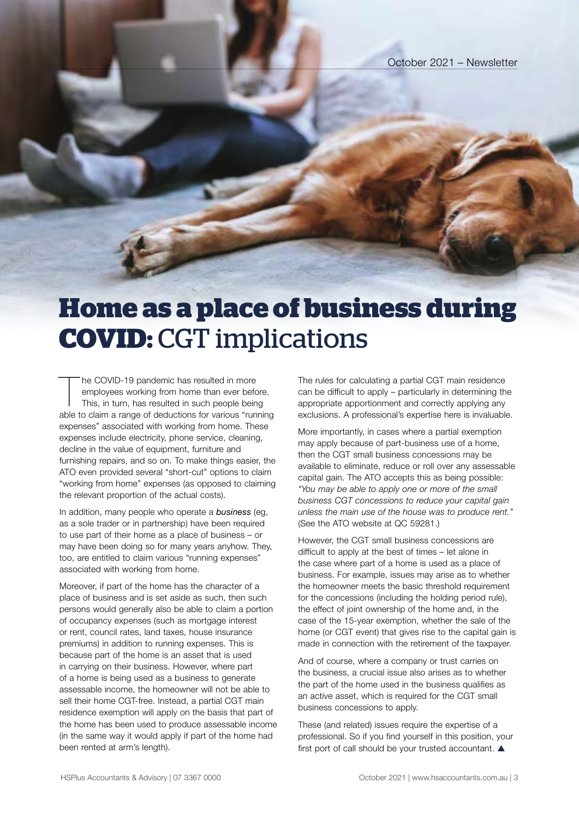# **Home as a place of business during COVID:** CGT implications

The COVID-19 pandemic has resulted in more<br>
employees working from home than ever before.<br>
This, in turn, has resulted in such people being<br>
able to claim a range of deductions for various "running he COVID-19 pandemic has resulted in more employees working from home than ever before. This, in turn, has resulted in such people being expenses" associated with working from home. These expenses include electricity, phone service, cleaning, decline in the value of equipment, furniture and furnishing repairs, and so on. To make things easier, the ATO even provided several "short-cut" options to claim "working from home" expenses (as opposed to claiming the relevant proportion of the actual costs).

In addition, many people who operate a *business* (eg, as a sole trader or in partnership) have been required to use part of their home as a place of business – or may have been doing so for many years anyhow. They, too, are entitled to claim various "running expenses" associated with working from home.

Moreover, if part of the home has the character of a place of business and is set aside as such, then such persons would generally also be able to claim a portion of occupancy expenses (such as mortgage interest or rent, council rates, land taxes, house insurance premiums) in addition to running expenses. This is because part of the home is an asset that is used in carrying on their business. However, where part of a home is being used as a business to generate assessable income, the homeowner will not be able to sell their home CGT-free. Instead, a partial CGT main residence exemption will apply on the basis that part of the home has been used to produce assessable income (in the same way it would apply if part of the home had been rented at arm's length).

The rules for calculating a partial CGT main residence can be difficult to apply – particularly in determining the appropriate apportionment and correctly applying any exclusions. A professional's expertise here is invaluable.

More importantly, in cases where a partial exemption may apply because of part-business use of a home, then the CGT small business concessions may be available to eliminate, reduce or roll over any assessable capital gain. The ATO accepts this as being possible: *"You may be able to apply one or more of the small business CGT concessions to reduce your capital gain unless the main use of the house was to produce rent."*  (See the ATO website at QC 59281.)

However, the CGT small business concessions are difficult to apply at the best of times – let alone in the case where part of a home is used as a place of business. For example, issues may arise as to whether the homeowner meets the basic threshold requirement for the concessions (including the holding period rule), the effect of joint ownership of the home and, in the case of the 15-year exemption, whether the sale of the home (or CGT event) that gives rise to the capital gain is made in connection with the retirement of the taxpayer.

And of course, where a company or trust carries on the business, a crucial issue also arises as to whether the part of the home used in the business qualifies as an active asset, which is required for the CGT small business concessions to apply.

These (and related) issues require the expertise of a professional. So if you find yourself in this position, your first port of call should be your trusted accountant.  $\blacktriangle$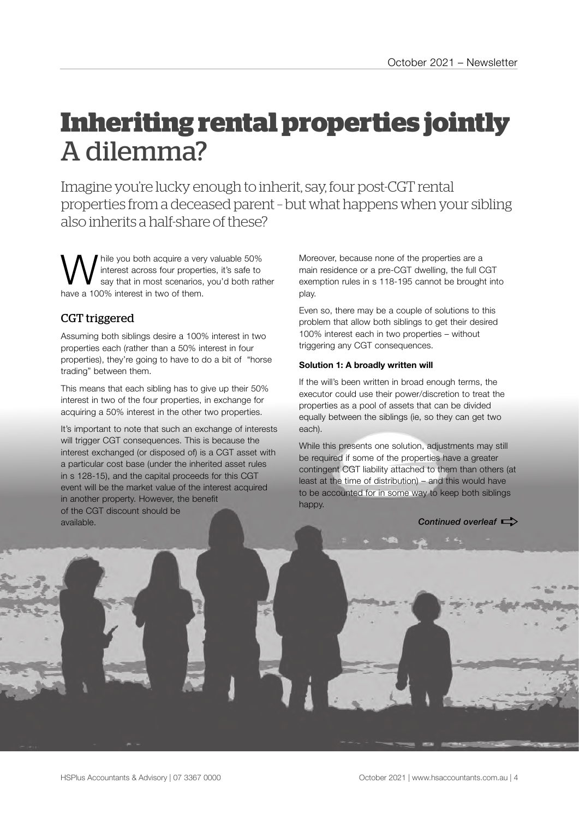# **Inheriting rental properties jointly**  A dilemma?

Imagine you're lucky enough to inherit, say, four post-CGT rental properties from a deceased parent – but what happens when your sibling also inherits a half-share of these?

While you both acquire a very valuable 50%<br>
say that in most scenarios, you'd both rather<br>
say that in two of them interest across four properties, it's safe to have a 100% interest in two of them.

## CGT triggered

Assuming both siblings desire a 100% interest in two properties each (rather than a 50% interest in four properties), they're going to have to do a bit of "horse trading" between them.

This means that each sibling has to give up their 50% interest in two of the four properties, in exchange for acquiring a 50% interest in the other two properties.

It's important to note that such an exchange of interests will trigger CGT consequences. This is because the interest exchanged (or disposed of) is a CGT asset with a particular cost base (under the inherited asset rules in s 128-15), and the capital proceeds for this CGT event will be the market value of the interest acquired in another property. However, the benefit of the CGT discount should be available.

Moreover, because none of the properties are a main residence or a pre-CGT dwelling, the full CGT exemption rules in s 118-195 cannot be brought into play.

Even so, there may be a couple of solutions to this problem that allow both siblings to get their desired 100% interest each in two properties – without triggering any CGT consequences.

#### **Solution 1: A broadly written will**

If the will's been written in broad enough terms, the executor could use their power/discretion to treat the properties as a pool of assets that can be divided equally between the siblings (ie, so they can get two each).

While this presents one solution, adjustments may still be required if some of the properties have a greater contingent CGT liability attached to them than others (at least at the time of distribution) – and this would have to be accounted for in some way to keep both siblings happy.

**Continued overleaf**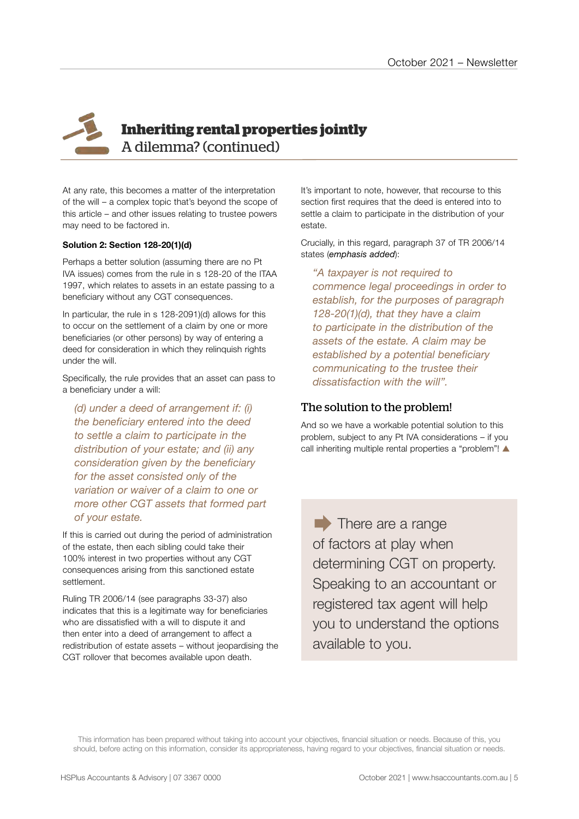# **Inheriting rental properties jointly** A dilemma? (continued)

At any rate, this becomes a matter of the interpretation of the will – a complex topic that's beyond the scope of this article – and other issues relating to trustee powers may need to be factored in.

#### **Solution 2: Section 128-20(1)(d)**

Perhaps a better solution (assuming there are no Pt IVA issues) comes from the rule in s 128-20 of the ITAA 1997, which relates to assets in an estate passing to a beneficiary without any CGT consequences.

In particular, the rule in s 128-2091)(d) allows for this to occur on the settlement of a claim by one or more beneficiaries (or other persons) by way of entering a deed for consideration in which they relinquish rights under the will.

Specifically, the rule provides that an asset can pass to a beneficiary under a will:

*(d) under a deed of arrangement if: (i) the beneficiary entered into the deed to settle a claim to participate in the distribution of your estate; and (ii) any consideration given by the beneficiary for the asset consisted only of the variation or waiver of a claim to one or more other CGT assets that formed part of your estate.*

If this is carried out during the period of administration of the estate, then each sibling could take their 100% interest in two properties without any CGT consequences arising from this sanctioned estate settlement.

Ruling TR 2006/14 (see paragraphs 33-37) also indicates that this is a legitimate way for beneficiaries who are dissatisfied with a will to dispute it and then enter into a deed of arrangement to affect a redistribution of estate assets – without jeopardising the CGT rollover that becomes available upon death.

It's important to note, however, that recourse to this section first requires that the deed is entered into to settle a claim to participate in the distribution of your estate.

Crucially, in this regard, paragraph 37 of TR 2006/14 states (*emphasis added*):

*"A taxpayer is not required to commence legal proceedings in order to establish, for the purposes of paragraph 128-20(1)(d), that they have a claim to participate in the distribution of the assets of the estate. A claim may be established by a potential beneficiary communicating to the trustee their dissatisfaction with the will".* 

### The solution to the problem!

And so we have a workable potential solution to this problem, subject to any Pt IVA considerations – if you call inheriting multiple rental properties a "problem"!  $\blacktriangle$ 

 $\blacktriangleright$  There are a range of factors at play when determining CGT on property. Speaking to an accountant or registered tax agent will help you to understand the options available to you.

This information has been prepared without taking into account your objectives, financial situation or needs. Because of this, you should, before acting on this information, consider its appropriateness, having regard to your objectives, financial situation or needs.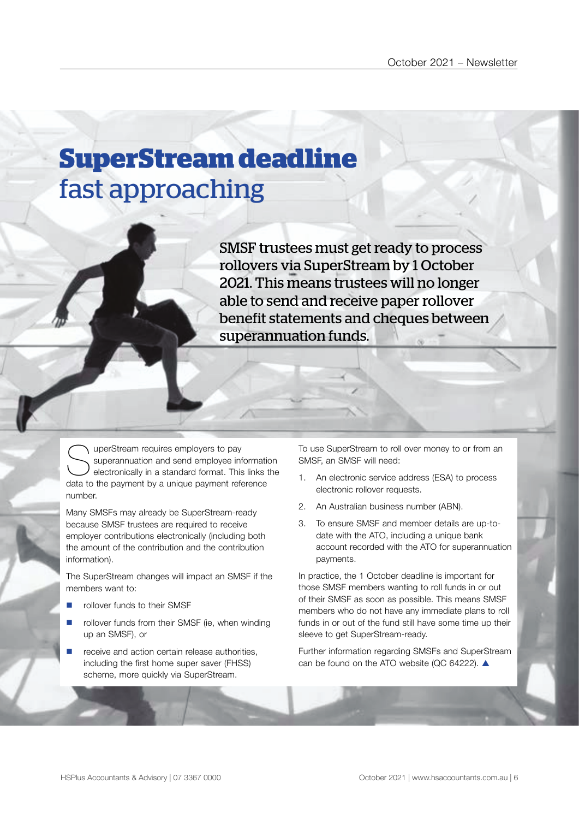# **SuperStream deadline**  fast approaching

SMSF trustees must get ready to process rollovers via SuperStream by 1 October 2021. This means trustees will no longer able to send and receive paper rollover benefit statements and cheques between superannuation funds.

SuperStream requires employers to pay<br>superannuation and send employee inf<br>electronically in a standard format. This<br>data to the payment by a unique payment refe superannuation and send employee information electronically in a standard format. This links the data to the payment by a unique payment reference number.

Many SMSFs may already be SuperStream-ready because SMSF trustees are required to receive employer contributions electronically (including both the amount of the contribution and the contribution information).

The SuperStream changes will impact an SMSF if the members want to:

- rollover funds to their SMSF
- rollover funds from their SMSF (ie, when winding up an SMSF), or
- receive and action certain release authorities, including the first home super saver (FHSS) scheme, more quickly via SuperStream.

To use SuperStream to roll over money to or from an SMSF, an SMSF will need:

- 1. An electronic service address (ESA) to process electronic rollover requests.
- 2. An Australian business number (ABN).
- 3. To ensure SMSF and member details are up-todate with the ATO, including a unique bank account recorded with the ATO for superannuation payments.

In practice, the 1 October deadline is important for those SMSF members wanting to roll funds in or out of their SMSF as soon as possible. This means SMSF members who do not have any immediate plans to roll funds in or out of the fund still have some time up their sleeve to get SuperStream-ready.

Further information regarding SMSFs and SuperStream can be found on the ATO website (QC 64222).  $\triangle$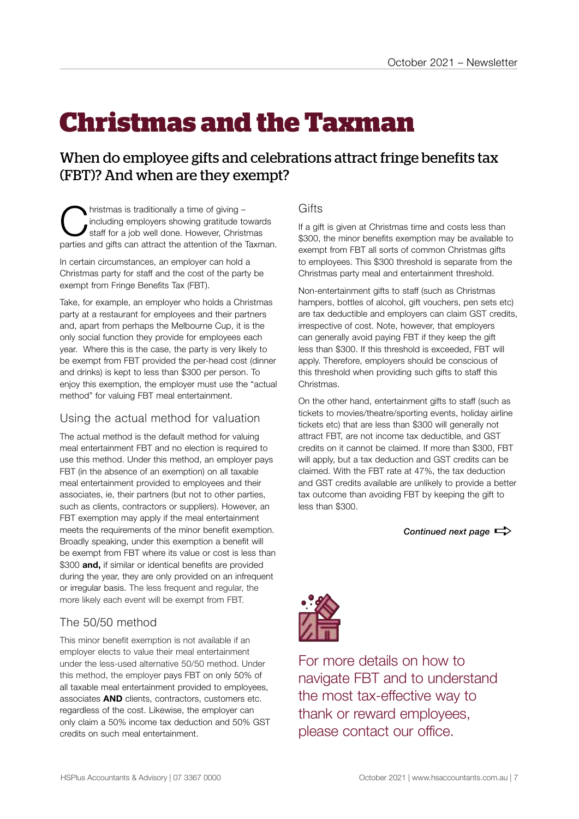# **Christmas and the Taxman**

## When do employee gifts and celebrations attract fringe benefits tax (FBT)? And when are they exempt?

**C**hristmas is traditionally a time of giving –<br>
staff for a job well done. However, Christmas<br>
partice and gifts can attract the attention of the Town including employers showing gratitude towards parties and gifts can attract the attention of the Taxman.

In certain circumstances, an employer can hold a Christmas party for staff and the cost of the party be exempt from Fringe Benefits Tax (FBT).

Take, for example, an employer who holds a Christmas party at a restaurant for employees and their partners and, apart from perhaps the Melbourne Cup, it is the only social function they provide for employees each year. Where this is the case, the party is very likely to be exempt from FBT provided the per-head cost (dinner and drinks) is kept to less than \$300 per person. To enjoy this exemption, the employer must use the "actual method" for valuing FBT meal entertainment.

### Using the actual method for valuation

The actual method is the default method for valuing meal entertainment FBT and no election is required to use this method. Under this method, an employer pays FBT (in the absence of an exemption) on all taxable meal entertainment provided to employees and their associates, ie, their partners (but not to other parties, such as clients, contractors or suppliers). However, an FBT exemption may apply if the meal entertainment meets the requirements of the minor benefit exemption. Broadly speaking, under this exemption a benefit will be exempt from FBT where its value or cost is less than \$300 **and,** if similar or identical benefits are provided during the year, they are only provided on an infrequent or irregular basis. The less frequent and regular, the more likely each event will be exempt from FBT.

## The 50/50 method

This minor benefit exemption is not available if an employer elects to value their meal entertainment under the less-used alternative 50/50 method. Under this method, the employer pays FBT on only 50% of all taxable meal entertainment provided to employees, associates **AND** clients, contractors, customers etc. regardless of the cost. Likewise, the employer can only claim a 50% income tax deduction and 50% GST credits on such meal entertainment.

### **Gifts**

If a gift is given at Christmas time and costs less than \$300, the minor benefits exemption may be available to exempt from FBT all sorts of common Christmas gifts to employees. This \$300 threshold is separate from the Christmas party meal and entertainment threshold.

Non-entertainment gifts to staff (such as Christmas hampers, bottles of alcohol, gift vouchers, pen sets etc) are tax deductible and employers can claim GST credits, irrespective of cost. Note, however, that employers can generally avoid paying FBT if they keep the gift less than \$300. If this threshold is exceeded, FBT will apply. Therefore, employers should be conscious of this threshold when providing such gifts to staff this Christmas.

On the other hand, entertainment gifts to staff (such as tickets to movies/theatre/sporting events, holiday airline tickets etc) that are less than \$300 will generally not attract FBT, are not income tax deductible, and GST credits on it cannot be claimed. If more than \$300, FBT will apply, but a tax deduction and GST credits can be claimed. With the FBT rate at 47%, the tax deduction and GST credits available are unlikely to provide a better tax outcome than avoiding FBT by keeping the gift to less than \$300.

*Continued next page*  $\Rightarrow$ 



For more details on how to navigate FBT and to understand the most tax-effective way to thank or reward employees, please contact our office.